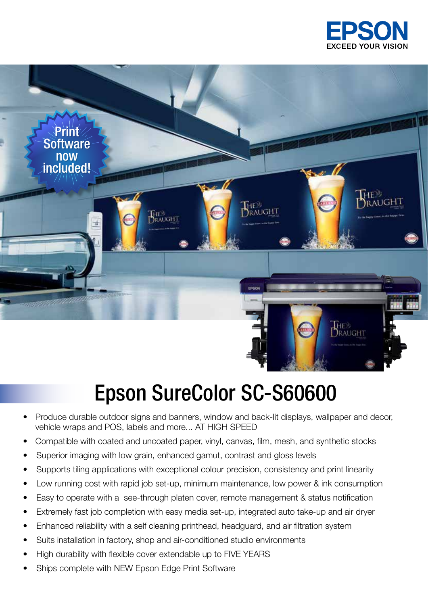



## Epson SureColor SC-S60600

- Produce durable outdoor signs and banners, window and back-lit displays, wallpaper and decor, vehicle wraps and POS, labels and more... AT HIGH SPEED
- Compatible with coated and uncoated paper, vinyl, canvas, film, mesh, and synthetic stocks
- Superior imaging with low grain, enhanced gamut, contrast and gloss levels
- Supports tiling applications with exceptional colour precision, consistency and print linearity
- Low running cost with rapid job set-up, minimum maintenance, low power & ink consumption
- Easy to operate with a see-through platen cover, remote management & status notification
- Extremely fast job completion with easy media set-up, integrated auto take-up and air dryer
- Enhanced reliability with a self cleaning printhead, headguard, and air filtration system
- Suits installation in factory, shop and air-conditioned studio environments
- High durability with flexible cover extendable up to FIVE YEARS
- Ships complete with NEW Epson Edge Print Software